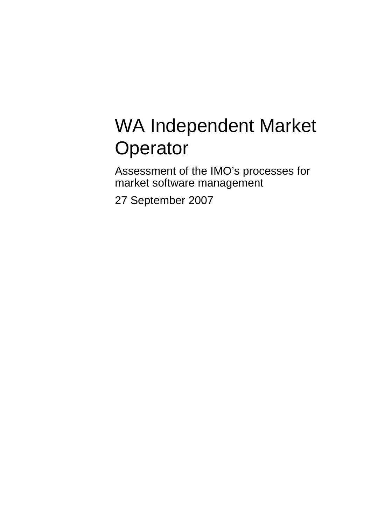# WA Independent Market **Operator**

Assessment of the IMO's processes for market software management

27 September 2007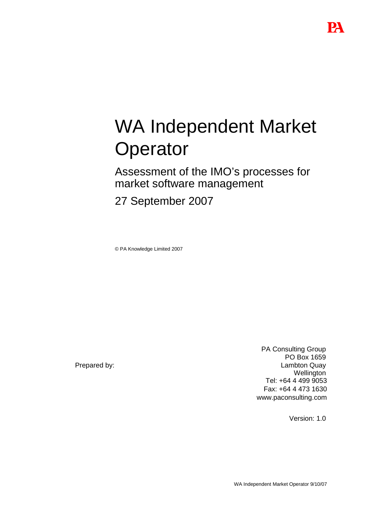# WA Independent Market **Operator**

Assessment of the IMO's processes for market software management

27 September 2007

© PA Knowledge Limited 2007

Prepared by:

PA Consulting Group PO Box 1659 Lambton Quay **Wellington** Tel: +64 4 499 9053 Fax: +64 4 473 1630 www.paconsulting.com

Version: 1.0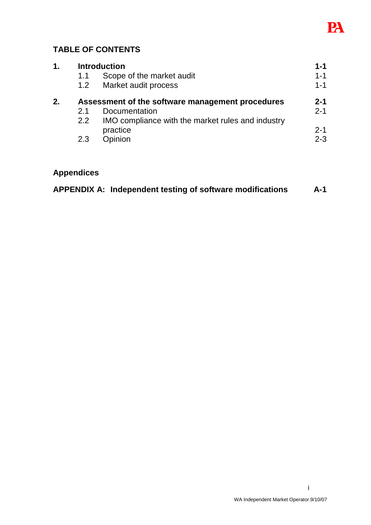

## **TABLE OF CONTENTS**

| 1. | <b>Introduction</b>                              |                                                   |         |
|----|--------------------------------------------------|---------------------------------------------------|---------|
|    | 1.1                                              | Scope of the market audit                         | $1 - 1$ |
|    | 1.2                                              | Market audit process                              | $1 - 1$ |
| 2. | Assessment of the software management procedures |                                                   |         |
|    | 21                                               | Documentation                                     | $2 - 1$ |
|    | 2.2                                              | IMO compliance with the market rules and industry |         |
|    |                                                  | practice                                          | $2 - 1$ |
|    | 2.3                                              | Opinion                                           | $2 - 3$ |
|    |                                                  |                                                   |         |

## **Appendices**

|  |  |  | APPENDIX A: Independent testing of software modifications | A-1 |
|--|--|--|-----------------------------------------------------------|-----|
|--|--|--|-----------------------------------------------------------|-----|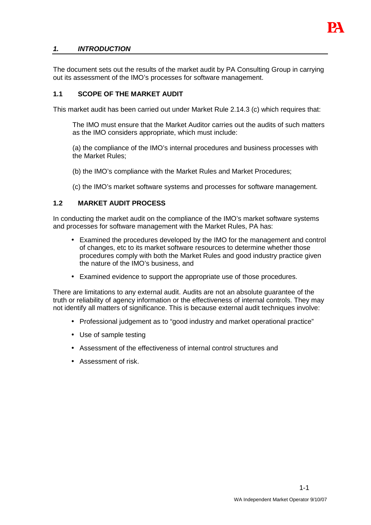

#### **1. INTRODUCTION**

The document sets out the results of the market audit by PA Consulting Group in carrying out its assessment of the IMO's processes for software management.

#### **1.1 SCOPE OF THE MARKET AUDIT**

This market audit has been carried out under Market Rule 2.14.3 (c) which requires that:

The IMO must ensure that the Market Auditor carries out the audits of such matters as the IMO considers appropriate, which must include:

(a) the compliance of the IMO's internal procedures and business processes with the Market Rules;

- (b) the IMO's compliance with the Market Rules and Market Procedures;
- (c) the IMO's market software systems and processes for software management.

#### **1.2 MARKET AUDIT PROCESS**

In conducting the market audit on the compliance of the IMO's market software systems and processes for software management with the Market Rules, PA has:

- Examined the procedures developed by the IMO for the management and control of changes, etc to its market software resources to determine whether those procedures comply with both the Market Rules and good industry practice given the nature of the IMO's business, and
- Examined evidence to support the appropriate use of those procedures.

There are limitations to any external audit. Audits are not an absolute guarantee of the truth or reliability of agency information or the effectiveness of internal controls. They may not identify all matters of significance. This is because external audit techniques involve:

- Professional judgement as to "good industry and market operational practice"
- Use of sample testing
- Assessment of the effectiveness of internal control structures and
- Assessment of risk.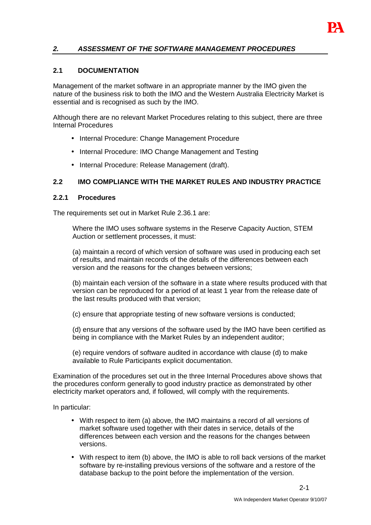

#### **2. ASSESSMENT OF THE SOFTWARE MANAGEMENT PROCEDURES**

#### **2.1 DOCUMENTATION**

Management of the market software in an appropriate manner by the IMO given the nature of the business risk to both the IMO and the Western Australia Electricity Market is essential and is recognised as such by the IMO.

Although there are no relevant Market Procedures relating to this subject, there are three Internal Procedures

- Internal Procedure: Change Management Procedure
- Internal Procedure: IMO Change Management and Testing
- Internal Procedure: Release Management (draft).

#### **2.2 IMO COMPLIANCE WITH THE MARKET RULES AND INDUSTRY PRACTICE**

#### **2.2.1 Procedures**

The requirements set out in Market Rule 2.36.1 are:

Where the IMO uses software systems in the Reserve Capacity Auction, STEM Auction or settlement processes, it must:

(a) maintain a record of which version of software was used in producing each set of results, and maintain records of the details of the differences between each version and the reasons for the changes between versions;

(b) maintain each version of the software in a state where results produced with that version can be reproduced for a period of at least 1 year from the release date of the last results produced with that version;

(c) ensure that appropriate testing of new software versions is conducted;

(d) ensure that any versions of the software used by the IMO have been certified as being in compliance with the Market Rules by an independent auditor;

(e) require vendors of software audited in accordance with clause (d) to make available to Rule Participants explicit documentation.

Examination of the procedures set out in the three Internal Procedures above shows that the procedures conform generally to good industry practice as demonstrated by other electricity market operators and, if followed, will comply with the requirements.

In particular:

- With respect to item (a) above, the IMO maintains a record of all versions of market software used together with their dates in service, details of the differences between each version and the reasons for the changes between versions.
- With respect to item (b) above, the IMO is able to roll back versions of the market software by re-installing previous versions of the software and a restore of the database backup to the point before the implementation of the version.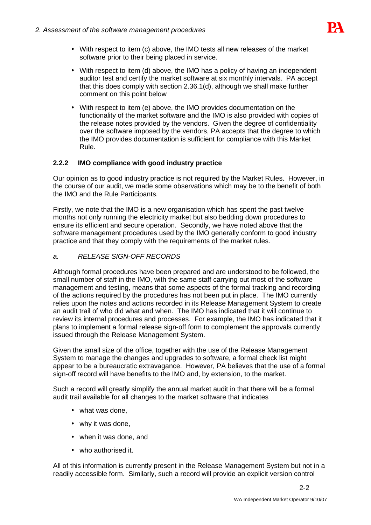

- With respect to item (c) above, the IMO tests all new releases of the market software prior to their being placed in service.
- With respect to item (d) above, the IMO has a policy of having an independent auditor test and certify the market software at six monthly intervals. PA accept that this does comply with section 2.36.1(d), although we shall make further comment on this point below
- With respect to item (e) above, the IMO provides documentation on the functionality of the market software and the IMO is also provided with copies of the release notes provided by the vendors. Given the degree of confidentiality over the software imposed by the vendors, PA accepts that the degree to which the IMO provides documentation is sufficient for compliance with this Market Rule.

### **2.2.2 IMO compliance with good industry practice**

Our opinion as to good industry practice is not required by the Market Rules. However, in the course of our audit, we made some observations which may be to the benefit of both the IMO and the Rule Participants.

Firstly, we note that the IMO is a new organisation which has spent the past twelve months not only running the electricity market but also bedding down procedures to ensure its efficient and secure operation. Secondly, we have noted above that the software management procedures used by the IMO generally conform to good industry practice and that they comply with the requirements of the market rules.

#### a. RELEASE SIGN-OFF RECORDS

Although formal procedures have been prepared and are understood to be followed, the small number of staff in the IMO, with the same staff carrying out most of the software management and testing, means that some aspects of the formal tracking and recording of the actions required by the procedures has not been put in place. The IMO currently relies upon the notes and actions recorded in its Release Management System to create an audit trail of who did what and when. The IMO has indicated that it will continue to review its internal procedures and processes. For example, the IMO has indicated that it plans to implement a formal release sign-off form to complement the approvals currently issued through the Release Management System.

Given the small size of the office, together with the use of the Release Management System to manage the changes and upgrades to software, a formal check list might appear to be a bureaucratic extravagance. However, PA believes that the use of a formal sign-off record will have benefits to the IMO and, by extension, to the market.

Such a record will greatly simplify the annual market audit in that there will be a formal audit trail available for all changes to the market software that indicates

- what was done,
- why it was done,
- when it was done, and
- who authorised it.

All of this information is currently present in the Release Management System but not in a readily accessible form. Similarly, such a record will provide an explicit version control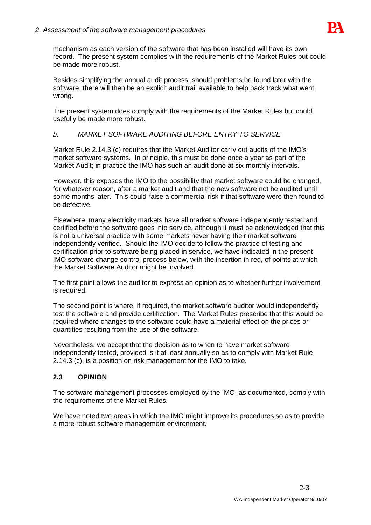

mechanism as each version of the software that has been installed will have its own record. The present system complies with the requirements of the Market Rules but could be made more robust.

Besides simplifying the annual audit process, should problems be found later with the software, there will then be an explicit audit trail available to help back track what went wrong.

The present system does comply with the requirements of the Market Rules but could usefully be made more robust.

### b. MARKET SOFTWARE AUDITING BEFORE ENTRY TO SERVICE

Market Rule 2.14.3 (c) requires that the Market Auditor carry out audits of the IMO's market software systems. In principle, this must be done once a year as part of the Market Audit; in practice the IMO has such an audit done at six-monthly intervals.

However, this exposes the IMO to the possibility that market software could be changed, for whatever reason, after a market audit and that the new software not be audited until some months later. This could raise a commercial risk if that software were then found to be defective.

Elsewhere, many electricity markets have all market software independently tested and certified before the software goes into service, although it must be acknowledged that this is not a universal practice with some markets never having their market software independently verified. Should the IMO decide to follow the practice of testing and certification prior to software being placed in service, we have indicated in the present IMO software change control process below, with the insertion in red, of points at which the Market Software Auditor might be involved.

The first point allows the auditor to express an opinion as to whether further involvement is required.

The second point is where, if required, the market software auditor would independently test the software and provide certification. The Market Rules prescribe that this would be required where changes to the software could have a material effect on the prices or quantities resulting from the use of the software.

Nevertheless, we accept that the decision as to when to have market software independently tested, provided is it at least annually so as to comply with Market Rule 2.14.3 (c), is a position on risk management for the IMO to take.

#### **2.3 OPINION**

The software management processes employed by the IMO, as documented, comply with the requirements of the Market Rules.

We have noted two areas in which the IMO might improve its procedures so as to provide a more robust software management environment.